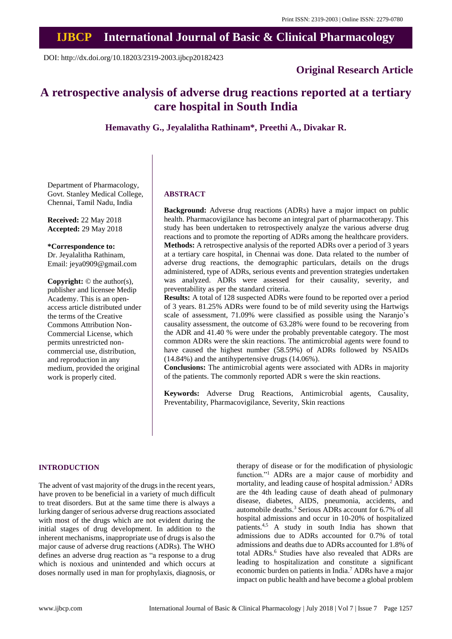## **IJBCP International Journal of Basic & Clinical Pharmacology**

DOI: http://dx.doi.org/10.18203/2319-2003.ijbcp20182423

## **Original Research Article**

# **A retrospective analysis of adverse drug reactions reported at a tertiary care hospital in South India**

**Hemavathy G., Jeyalalitha Rathinam\*, Preethi A., Divakar R.**

Department of Pharmacology, Govt. Stanley Medical College, Chennai, Tamil Nadu, India

**Received:** 22 May 2018 **Accepted:** 29 May 2018

**\*Correspondence to:** Dr. Jeyalalitha Rathinam,

Email: jeya0909@gmail.com

**Copyright:** © the author(s), publisher and licensee Medip Academy. This is an openaccess article distributed under the terms of the Creative Commons Attribution Non-Commercial License, which permits unrestricted noncommercial use, distribution, and reproduction in any medium, provided the original work is properly cited.

#### **ABSTRACT**

**Background:** Adverse drug reactions (ADRs) have a major impact on public health. Pharmacovigilance has become an integral part of pharmacotherapy. This study has been undertaken to retrospectively analyze the various adverse drug reactions and to promote the reporting of ADRs among the healthcare providers. **Methods:** A retrospective analysis of the reported ADRs over a period of 3 years at a tertiary care hospital, in Chennai was done. Data related to the number of adverse drug reactions, the demographic particulars, details on the drugs administered, type of ADRs, serious events and prevention strategies undertaken was analyzed. ADRs were assessed for their causality, severity, and preventability as per the standard criteria.

**Results:** A total of 128 suspected ADRs were found to be reported over a period of 3 years. 81.25% ADRs were found to be of mild severity using the Hartwigs scale of assessment, 71.09% were classified as possible using the Naranjo's causality assessment, the outcome of 63.28% were found to be recovering from the ADR and 41.40 % were under the probably preventable category. The most common ADRs were the skin reactions. The antimicrobial agents were found to have caused the highest number (58.59%) of ADRs followed by NSAIDs (14.84%) and the antihypertensive drugs (14.06%).

**Conclusions:** The antimicrobial agents were associated with ADRs in majority of the patients. The commonly reported ADR s were the skin reactions.

**Keywords:** Adverse Drug Reactions, Antimicrobial agents, Causality, Preventability, Pharmacovigilance, Severity, Skin reactions

#### **INTRODUCTION**

The advent of vast majority of the drugs in the recent years, have proven to be beneficial in a variety of much difficult to treat disorders. But at the same time there is always a lurking danger of serious adverse drug reactions associated with most of the drugs which are not evident during the initial stages of drug development. In addition to the inherent mechanisms, inappropriate use of drugs is also the major cause of adverse drug reactions (ADRs). The WHO defines an adverse drug reaction as "a response to a drug which is noxious and unintended and which occurs at doses normally used in man for prophylaxis, diagnosis, or therapy of disease or for the modification of physiologic function."<sup>1</sup> ADRs are a major cause of morbidity and mortality, and leading cause of hospital admission.<sup>2</sup> ADRs are the 4th leading cause of death ahead of pulmonary disease, diabetes, AIDS, pneumonia, accidents, and automobile deaths.<sup>3</sup> Serious ADRs account for 6.7% of all hospital admissions and occur in 10-20% of hospitalized patients.4,5 A study in south India has shown that admissions due to ADRs accounted for 0.7% of total admissions and deaths due to ADRs accounted for 1.8% of total ADRs.<sup>6</sup> Studies have also revealed that ADRs are leading to hospitalization and constitute a significant economic burden on patients in India.<sup>7</sup> ADRs have a major impact on public health and have become a global problem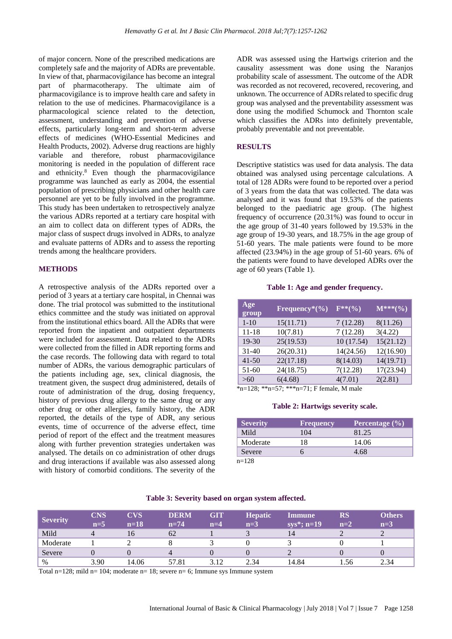of major concern. None of the prescribed medications are completely safe and the majority of ADRs are preventable. In view of that, pharmacovigilance has become an integral part of pharmacotherapy. The ultimate aim of pharmacovigilance is to improve health care and safety in relation to the use of medicines. Pharmacovigilance is a pharmacological science related to the detection, assessment, understanding and prevention of adverse effects, particularly long-term and short-term adverse effects of medicines (WHO-Essential Medicines and Health Products, 2002). Adverse drug reactions are highly variable and therefore, robust pharmacovigilance monitoring is needed in the population of different race and ethnicity.<sup>8</sup> Even though the pharmacovigilance programme was launched as early as 2004, the essential population of prescribing physicians and other health care personnel are yet to be fully involved in the programme. This study has been undertaken to retrospectively analyze the various ADRs reported at a tertiary care hospital with an aim to collect data on different types of ADRs, the major class of suspect drugs involved in ADRs, to analyze and evaluate patterns of ADRs and to assess the reporting trends among the healthcare providers.

### **METHODS**

A retrospective analysis of the ADRs reported over a period of 3 years at a tertiary care hospital, in Chennai was done. The trial protocol was submitted to the institutional ethics committee and the study was initiated on approval from the institutional ethics board. All the ADRs that were reported from the inpatient and outpatient departments were included for assessment. Data related to the ADRs were collected from the filled in ADR reporting forms and the case records. The following data with regard to total number of ADRs, the various demographic particulars of the patients including age, sex, clinical diagnosis, the treatment given, the suspect drug administered, details of route of administration of the drug, dosing frequency, history of previous drug allergy to the same drug or any other drug or other allergies, family history, the ADR reported, the details of the type of ADR, any serious events, time of occurrence of the adverse effect, time period of report of the effect and the treatment measures along with further prevention strategies undertaken was analysed. The details on co administration of other drugs and drug interactions if available was also assessed along with history of comorbid conditions. The severity of the ADR was assessed using the Hartwigs criterion and the causality assessment was done using the Naranjos probability scale of assessment. The outcome of the ADR was recorded as not recovered, recovered, recovering, and unknown. The occurrence of ADRs related to specific drug group was analysed and the preventability assessment was done using the modified Schumock and Thornton scale which classifies the ADRs into definitely preventable, probably preventable and not preventable.

### **RESULTS**

Descriptive statistics was used for data analysis. The data obtained was analysed using percentage calculations. A total of 128 ADRs were found to be reported over a period of 3 years from the data that was collected. The data was analysed and it was found that 19.53% of the patients belonged to the paediatric age group. (The highest frequency of occurrence (20.31%) was found to occur in the age group of 31-40 years followed by 19.53% in the age group of 19-30 years, and 18.75% in the age group of 51-60 years. The male patients were found to be more affected (23.94%) in the age group of 51-60 years. 6% of the patients were found to have developed ADRs over the age of 60 years (Table 1).

#### **Table 1: Age and gender frequency.**

| $\bf{Age}$<br>group | Frequency <sup>*</sup> $(\%$ ) | $F^{**}(\% )$ | $M^{***(0)}$ |
|---------------------|--------------------------------|---------------|--------------|
| $1 - 10$            | 15(11.71)                      | 7(12.28)      | 8(11.26)     |
| 11-18               | 10(7.81)                       | 7(12.28)      | 3(4.22)      |
| 19-30               | 25(19.53)                      | 10(17.54)     | 15(21.12)    |
| 31-40               | 26(20.31)                      | 14(24.56)     | 12(16.90)    |
| 41-50               | 22(17.18)                      | 8(14.03)      | 14(19.71)    |
| 51-60               | 24(18.75)                      | 7(12.28)      | 17(23.94)    |
| > 60                | 6(4.68)                        | 4(7.01)       | 2(2.81)      |

\*n=128; \*\*n=57; \*\*\*n=71; F female, M male

#### **Table 2: Hartwigs severity scale.**

| <b>Severity</b> | <b>Frequency</b> | Percentage (%) |
|-----------------|------------------|----------------|
| Mild            | 104              | 81.25          |
| Moderate        | 18               | 14.06          |
| Severe          |                  | 4.68           |
| $n=128$         |                  |                |

| <b>Severity</b> | <b>CNS</b><br>$n=5$ | CVS<br>$n=18$ | <b>DERM</b><br>$n=74$ | <b>GIT</b><br>$n=4$ | <b>Hepatic</b><br>$n=3$ | <b>Immune</b><br>$sys^*$ ; n=19 | ${\bf RS}$<br>$n=2$ | <b>Others</b><br>$n=3$ |
|-----------------|---------------------|---------------|-----------------------|---------------------|-------------------------|---------------------------------|---------------------|------------------------|
| Mild            |                     | 16            | 62                    |                     |                         | 14                              |                     |                        |
| Moderate        |                     |               |                       |                     |                         |                                 |                     |                        |
| Severe          |                     |               | 4                     |                     |                         |                                 |                     |                        |
| $\%$            | 3.90                | 14.06         | 57.81                 | 3.12                | 2.34                    | 14.84                           | .56                 | 2.34                   |

## **Table 3: Severity based on organ system affected.**

Total n=128; mild n= 104; moderate n= 18; severe n= 6; Immune sys Immune system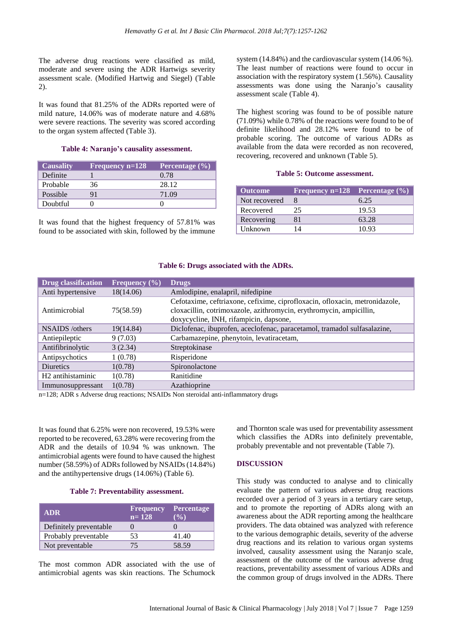The adverse drug reactions were classified as mild, moderate and severe using the ADR Hartwigs severity assessment scale. (Modified Hartwig and Siegel) (Table 2).

It was found that 81.25% of the ADRs reported were of mild nature, 14.06% was of moderate nature and 4.68% were severe reactions. The severity was scored according to the organ system affected (Table 3).

### **Table 4: Naranjo's causality assessment.**

| <b>Causality</b> | Frequency $n=128$ | Percentage $(\% )$ |
|------------------|-------------------|--------------------|
| Definite         |                   | 0.78               |
| Probable         | 36                | 28.12              |
| Possible         |                   | 71.09              |
| Doubtful         |                   |                    |

It was found that the highest frequency of 57.81% was found to be associated with skin, followed by the immune

system (14.84%) and the cardiovascular system (14.06 %). The least number of reactions were found to occur in association with the respiratory system (1.56%). Causality assessments was done using the Naranjo's causality assessment scale (Table 4).

The highest scoring was found to be of possible nature (71.09%) while 0.78% of the reactions were found to be of definite likelihood and 28.12% were found to be of probable scoring. The outcome of various ADRs as available from the data were recorded as non recovered, recovering, recovered and unknown (Table 5).

## **Table 5: Outcome assessment.**

| <b>Outcome</b> | Frequency $n=128$ Percentage $(\% )$ |       |
|----------------|--------------------------------------|-------|
| Not recovered  |                                      | 6.25  |
| Recovered      | 25                                   | 19.53 |
| Recovering     |                                      | 63.28 |
| Unknown        | 14                                   | 10.93 |

### **Table 6: Drugs associated with the ADRs.**

| <b>Drug classification</b>    | Frequency $(\% )$ | <b>Drugs</b>                                                                                                                                                                                 |
|-------------------------------|-------------------|----------------------------------------------------------------------------------------------------------------------------------------------------------------------------------------------|
| Anti hypertensive             | 18(14.06)         | Amlodipine, enalapril, nifedipine                                                                                                                                                            |
| Antimicrobial                 | 75(58.59)         | Cefotaxime, ceftriaxone, cefixime, ciprofloxacin, ofloxacin, metronidazole,<br>cloxacillin, cotrimoxazole, azithromycin, erythromycin, ampicillin,<br>doxycycline, INH, rifampicin, dapsone, |
| NSAIDS/others                 | 19(14.84)         | Diclofenac, ibuprofen, aceclofenac, paracetamol, tramadol sulfasalazine,                                                                                                                     |
| Antiepileptic                 | 9(7.03)           | Carbamazepine, phenytoin, levatiracetam,                                                                                                                                                     |
| Antifibrinolytic              | 3(2.34)           | Streptokinase                                                                                                                                                                                |
| Antipsychotics                | 1(0.78)           | Risperidone                                                                                                                                                                                  |
| <b>Diuretics</b>              | 1(0.78)           | Spironolactone                                                                                                                                                                               |
| H <sub>2</sub> antihistaminic | 1(0.78)           | Ranitidine                                                                                                                                                                                   |
| Immunosuppressant             | 1(0.78)           | Azathioprine                                                                                                                                                                                 |

n=128; ADR s Adverse drug reactions; NSAIDs Non steroidal anti-inflammatory drugs

It was found that 6.25% were non recovered, 19.53% were reported to be recovered, 63.28% were recovering from the ADR and the details of 10.94 % was unknown. The antimicrobial agents were found to have caused the highest number (58.59%) of ADRs followed by NSAIDs(14.84%) and the antihypertensive drugs (14.06%) (Table 6).

### **Table 7: Preventability assessment.**

| <b>ADR</b>             | <b>Frequency</b><br>$n = 128$ | <b>Percentage</b><br>$\frac{1}{2}$ |
|------------------------|-------------------------------|------------------------------------|
| Definitely preventable |                               |                                    |
| Probably preventable   | 53                            | 41.40                              |
| Not preventable        | 75                            | 58.59                              |

The most common ADR associated with the use of antimicrobial agents was skin reactions. The Schumock

and Thornton scale was used for preventability assessment which classifies the ADRs into definitely preventable, probably preventable and not preventable (Table 7).

### **DISCUSSION**

This study was conducted to analyse and to clinically evaluate the pattern of various adverse drug reactions recorded over a period of 3 years in a tertiary care setup, and to promote the reporting of ADRs along with an awareness about the ADR reporting among the healthcare providers. The data obtained was analyzed with reference to the various demographic details, severity of the adverse drug reactions and its relation to various organ systems involved, causality assessment using the Naranjo scale, assessment of the outcome of the various adverse drug reactions, preventability assessment of various ADRs and the common group of drugs involved in the ADRs. There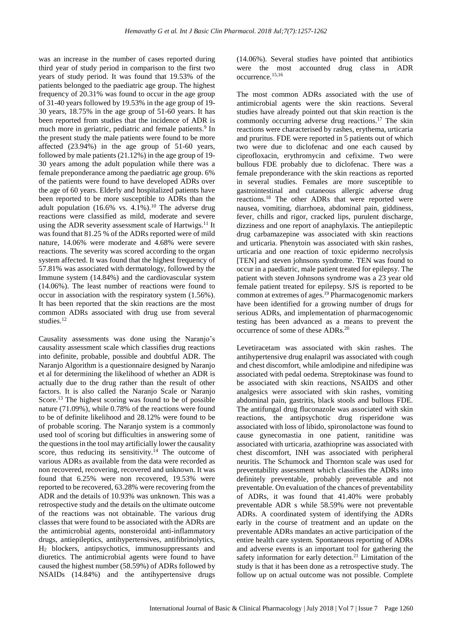was an increase in the number of cases reported during third year of study period in comparison to the first two years of study period. It was found that 19.53% of the patients belonged to the paediatric age group. The highest frequency of 20.31% was found to occur in the age group of 31-40 years followed by 19.53% in the age group of 19- 30 years, 18.75% in the age group of 51-60 years. It has been reported from studies that the incidence of ADR is much more in geriatric, pediatric and female patients.<sup>9</sup> In the present study the male patients were found to be more affected (23.94%) in the age group of 51-60 years, followed by male patients (21.12%) in the age group of 19- 30 years among the adult population while there was a female preponderance among the paediatric age group. 6% of the patients were found to have developed ADRs over the age of 60 years. Elderly and hospitalized patients have been reported to be more susceptible to ADRs than the adult population (16.6% vs.  $4.1\%$ ).<sup>10</sup> The adverse drug reactions were classified as mild, moderate and severe using the ADR severity assessment scale of Hartwigs.<sup>11</sup> It was found that 81.25 % of the ADRs reported were of mild nature, 14.06% were moderate and 4.68% were severe reactions. The severity was scored according to the organ system affected. It was found that the highest frequency of 57.81% was associated with dermatology, followed by the Immune system (14.84%) and the cardiovascular system (14.06%). The least number of reactions were found to occur in association with the respiratory system (1.56%). It has been reported that the skin reactions are the most common ADRs associated with drug use from several studies.<sup>12</sup>

Causality assessments was done using the Naranjo's causality assessment scale which classifies drug reactions into definite, probable, possible and doubtful ADR. The Naranjo Algorithm is a questionnaire designed by Naranjo et al for determining the likelihood of whether an ADR is actually due to the drug rather than the result of other factors. It is also called the Naranjo Scale or Naranjo Score.<sup>13</sup> The highest scoring was found to be of possible nature (71.09%), while 0.78% of the reactions were found to be of definite likelihood and 28.12% were found to be of probable scoring. The Naranjo system is a commonly used tool of scoring but difficulties in answering some of the questions in the tool may artificially lower the causality score, thus reducing its sensitivity.<sup>14</sup> The outcome of various ADRs as available from the data were recorded as non recovered, recovering, recovered and unknown. It was found that 6.25% were non recovered, 19.53% were reported to be recovered, 63.28% were recovering from the ADR and the details of 10.93% was unknown. This was a retrospective study and the details on the ultimate outcome of the reactions was not obtainable. The various drug classes that were found to be associated with the ADRs are the antimicrobial agents, nonsteroidal anti-inflammatory drugs, antiepileptics, antihypertensives, antifibrinolytics, H<sup>2</sup> blockers, antipsychotics, immunosuppressants and diuretics. The antimicrobial agents were found to have caused the highest number (58.59%) of ADRs followed by NSAIDs (14.84%) and the antihypertensive drugs

(14.06%). Several studies have pointed that antibiotics were the most accounted drug class in ADR occurrence.15,16

The most common ADRs associated with the use of antimicrobial agents were the skin reactions. Several studies have already pointed out that skin reaction is the commonly occurring adverse drug reactions.<sup>17</sup> The skin reactions were characterised by rashes, erythema, urticaria and pruritus. FDE were reported in 5 patients out of which two were due to diclofenac and one each caused by ciprofloxacin, erythromycin and cefixime. Two were bullous FDE probably due to diclofenac. There was a female preponderance with the skin reactions as reported in several studies. Females are more susceptible to gastrointestinal and cutaneous allergic adverse drug reactions.<sup>18</sup> The other ADRs that were reported were nausea, vomiting, diarrhoea, abdominal pain, giddiness, fever, chills and rigor, cracked lips, purulent discharge, dizziness and one report of anaphylaxis. The antiepileptic drug carbamazepine was associated with skin reactions and urticaria. Phenytoin was associated with skin rashes, urticaria and one reaction of toxic epidermo necrolysis [TEN] and steven johnsons syndrome. TEN was found to occur in a paediatric, male patient treated for epilepsy. The patient with steven Johnsons syndrome was a 23 year old female patient treated for epilepsy. SJS is reported to be common at extremes of ages.<sup>19</sup> Pharmacogenomic markers have been identified for a growing number of drugs for serious ADRs, and implementation of pharmacogenomic testing has been advanced as a means to prevent the occurrence of some of these ADRs.<sup>20</sup>

Levetiracetam was associated with skin rashes. The antihypertensive drug enalapril was associated with cough and chest discomfort, while amlodipine and nifedipine was associated with pedal oedema. Streptokinase was found to be associated with skin reactions, NSAIDS and other analgesics were associated with skin rashes, vomiting abdominal pain, gastritis, black stools and bullous FDE. The antifungal drug fluconazole was associated with skin reactions, the antipsychotic drug risperidone was associated with loss of libido, spironolactone was found to cause gynecomastia in one patient, ranitidine was associated with urticaria, azathioprine was associated with chest discomfort, INH was associated with peripheral neuritis. The Schumock and Thornton scale was used for preventability assessment which classifies the ADRs into definitely preventable, probably preventable and not preventable. On evaluation of the chances of preventability of ADRs, it was found that 41.40% were probably preventable ADR s while 58.59% were not preventable ADRs. A coordinated system of identifying the ADRs early in the course of treatment and an update on the preventable ADRs mandates an active participation of the entire health care system. Spontaneous reporting of ADRs and adverse events is an important tool for gathering the safety information for early detection.<sup>21</sup> Limitation of the study is that it has been done as a retrospective study. The follow up on actual outcome was not possible. Complete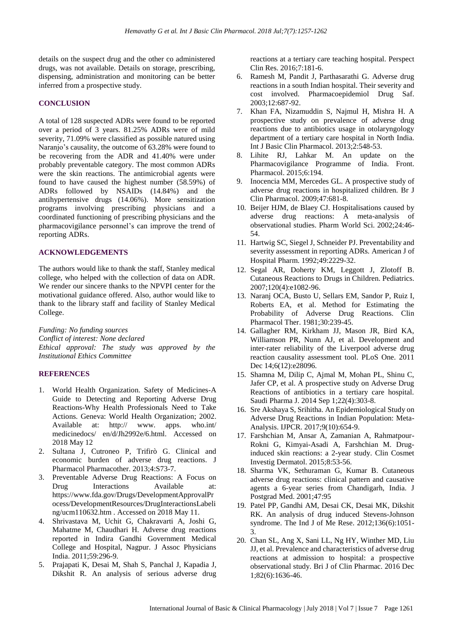details on the suspect drug and the other co administered drugs, was not available. Details on storage, prescribing, dispensing, administration and monitoring can be better inferred from a prospective study.

## **CONCLUSION**

A total of 128 suspected ADRs were found to be reported over a period of 3 years. 81.25% ADRs were of mild severity, 71.09% were classified as possible natured using Naranjo's causality, the outcome of 63.28% were found to be recovering from the ADR and 41.40% were under probably preventable category. The most common ADRs were the skin reactions. The antimicrobial agents were found to have caused the highest number (58.59%) of ADRs followed by NSAIDs (14.84%) and the antihypertensive drugs (14.06%). More sensitization programs involving prescribing physicians and a coordinated functioning of prescribing physicians and the pharmacovigilance personnel's can improve the trend of reporting ADRs.

## **ACKNOWLEDGEMENTS**

The authors would like to thank the staff, Stanley medical college, who helped with the collection of data on ADR. We render our sincere thanks to the NPVPI center for the motivational guidance offered. Also, author would like to thank to the library staff and facility of Stanley Medical College.

*Funding: No funding sources Conflict of interest: None declared Ethical approval: The study was approved by the Institutional Ethics Committee*

## **REFERENCES**

- 1. World Health Organization. Safety of Medicines-A Guide to Detecting and Reporting Adverse Drug Reactions-Why Health Professionals Need to Take Actions. Geneva: World Health Organization; 2002. Available at: http:// www. apps. who.int/ medicinedocs/ en/d/Jh2992e/6.html. Accessed on 2018 May 12
- 2. Sultana J, Cutroneo P, Trifirò G. Clinical and economic burden of adverse drug reactions. J Pharmacol Pharmacother. 2013;4:S73-7.
- 3. Preventable Adverse Drug Reactions: A Focus on Drug Interactions Available at: https://www.fda.gov/Drugs/DevelopmentApprovalPr ocess/DevelopmentResources/DrugInteractionsLabeli ng/ucm110632.htm . Accessed on 2018 May 11.
- 4. Shrivastava M, Uchit G, Chakravarti A, Joshi G, Mahatme M, Chaudhari H. Adverse drug reactions reported in Indira Gandhi Government Medical College and Hospital, Nagpur. J Assoc Physicians India. 2011;59:296-9.
- 5. Prajapati K, Desai M, Shah S, Panchal J, Kapadia J, Dikshit R. An analysis of serious adverse drug

reactions at a tertiary care teaching hospital. Perspect Clin Res. 2016;7:181-6.

- 6. Ramesh M, Pandit J, Parthasarathi G. Adverse drug reactions in a south Indian hospital. Their severity and cost involved. Pharmacoepidemiol Drug Saf. 2003;12:687-92.
- 7. Khan FA, Nizamuddin S, Najmul H, Mishra H. A prospective study on prevalence of adverse drug reactions due to antibiotics usage in otolaryngology department of a tertiary care hospital in North India. Int J Basic Clin Pharmacol. 2013;2:548-53.
- 8. Lihite RJ, Lahkar M. An update on the Pharmacovigilance Programme of India. Front. Pharmacol. 2015;6:194.
- 9. Inocencia MM, Mercedes GL. A prospective study of adverse drug reactions in hospitalized children. Br J Clin Pharmacol. 2009;47:681-8.
- 10. Beijer HJM, de Blaey CJ. Hospitalisations caused by adverse drug reactions: A meta-analysis of observational studies. Pharm World Sci. 2002;24:46- 54.
- 11. Hartwig SC, Siegel J, Schneider PJ. Preventability and severity assessment in reporting ADRs. American J of Hospital Pharm. 1992;49:2229-32.
- 12. Segal AR, Doherty KM, Leggott J, Zlotoff B. Cutaneous Reactions to Drugs in Children. Pediatrics. 2007;120(4):e1082-96.
- 13. Naranj OCA, Busto U, Sellars EM, Sandor P, Ruiz I, Roberts EA, et al. Method for Estimating the Probability of Adverse Drug Reactions. Clin Pharmacol Ther. 1981;30:239-45.
- 14. Gallagher RM, Kirkham JJ, Mason JR, Bird KA, Williamson PR, Nunn AJ, et al. Development and inter-rater reliability of the Liverpool adverse drug reaction causality assessment tool. PLoS One. 2011 Dec 14;6(12):e28096.
- 15. Shamna M, Dilip C, Ajmal M, Mohan PL, Shinu C, Jafer CP, et al. A prospective study on Adverse Drug Reactions of antibiotics in a tertiary care hospital. Saudi Pharma J. 2014 Sep 1;22(4):303-8.
- 16. Sre Akshaya S, Srihitha. An Epidemiological Study on Adverse Drug Reactions in Indian Population: Meta-Analysis. IJPCR. 2017;9(10):654-9.
- 17. Farshchian M, Ansar A, Zamanian A, Rahmatpour-Rokni G, Kimyai-Asadi A, Farshchian M. Druginduced skin reactions: a 2-year study. Clin Cosmet Investig Dermatol. 2015;8:53-56.
- 18. Sharma VK, Sethuraman G, Kumar B. Cutaneous adverse drug reactions: clinical pattern and causative agents a 6-year series from Chandigarh, India. J Postgrad Med. 2001;47:95
- 19. Patel PP, Gandhi AM, Desai CK, Desai MK, Dikshit RK. An analysis of drug induced Stevens-Johnson syndrome. The Ind J of Me Rese. 2012;136(6):1051- 3.
- 20. Chan SL, Ang X, Sani LL, Ng HY, Winther MD, Liu JJ, et al. Prevalence and characteristics of adverse drug reactions at admission to hospital: a prospective observational study. Bri J of Clin Pharmac. 2016 Dec 1;82(6):1636-46.